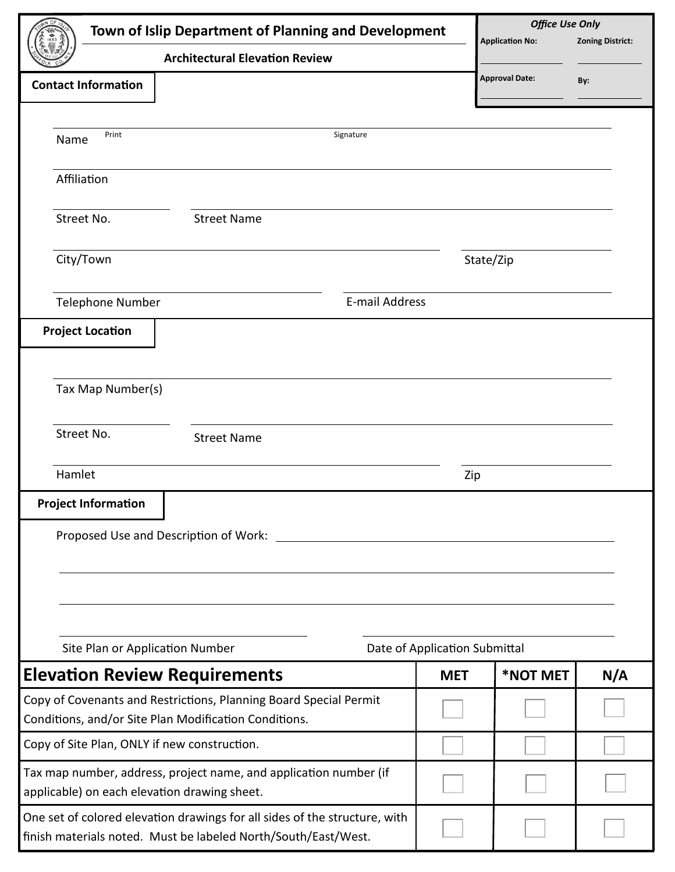| Town of Islip Department of Planning and Development                                                                                         |            | <b>Office Use Only</b><br><b>Zoning District:</b><br><b>Application No:</b> |     |  |  |
|----------------------------------------------------------------------------------------------------------------------------------------------|------------|-----------------------------------------------------------------------------|-----|--|--|
| <b>Architectural Elevation Review</b>                                                                                                        |            |                                                                             |     |  |  |
| <b>Contact Information</b>                                                                                                                   |            | <b>Approval Date:</b>                                                       | By: |  |  |
|                                                                                                                                              |            |                                                                             |     |  |  |
| Print<br>Signature<br>Name                                                                                                                   |            |                                                                             |     |  |  |
| Affiliation                                                                                                                                  |            |                                                                             |     |  |  |
| Street No.<br><b>Street Name</b>                                                                                                             |            |                                                                             |     |  |  |
| City/Town                                                                                                                                    | State/Zip  |                                                                             |     |  |  |
| E-mail Address<br><b>Telephone Number</b>                                                                                                    |            |                                                                             |     |  |  |
| <b>Project Location</b>                                                                                                                      |            |                                                                             |     |  |  |
|                                                                                                                                              |            |                                                                             |     |  |  |
| Tax Map Number(s)                                                                                                                            |            |                                                                             |     |  |  |
| Street No.<br><b>Street Name</b>                                                                                                             |            |                                                                             |     |  |  |
| Hamlet                                                                                                                                       | Zip        |                                                                             |     |  |  |
| <b>Project Information</b>                                                                                                                   |            |                                                                             |     |  |  |
| Proposed Use and Description of Work: __________                                                                                             |            |                                                                             |     |  |  |
|                                                                                                                                              |            |                                                                             |     |  |  |
|                                                                                                                                              |            |                                                                             |     |  |  |
|                                                                                                                                              |            |                                                                             |     |  |  |
| Site Plan or Application Number<br>Date of Application Submittal                                                                             |            |                                                                             |     |  |  |
| <b>Elevation Review Requirements</b>                                                                                                         | <b>MET</b> | *NOT MET                                                                    | N/A |  |  |
| Copy of Covenants and Restrictions, Planning Board Special Permit                                                                            |            |                                                                             |     |  |  |
| Conditions, and/or Site Plan Modification Conditions.<br>Copy of Site Plan, ONLY if new construction.                                        |            |                                                                             |     |  |  |
|                                                                                                                                              |            |                                                                             |     |  |  |
| Tax map number, address, project name, and application number (if<br>applicable) on each elevation drawing sheet.                            |            |                                                                             |     |  |  |
| One set of colored elevation drawings for all sides of the structure, with<br>finish materials noted. Must be labeled North/South/East/West. |            |                                                                             |     |  |  |